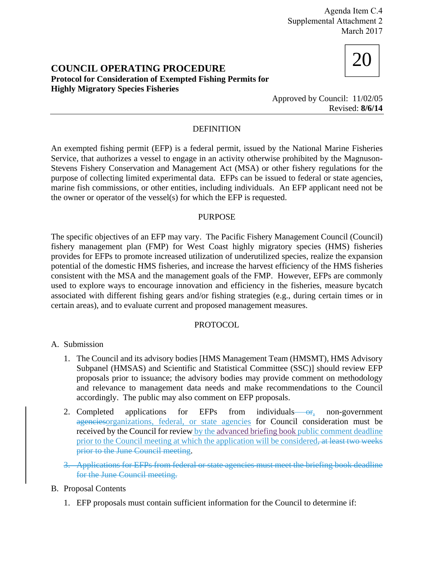Agenda Item C.4 Supplemental Attachment 2 March 2017

# 20 **COUNCIL OPERATING PROCEDURE Protocol for Consideration of Exempted Fishing Permits for Highly Migratory Species Fisheries**



Approved by Council: 11/02/05 Revised: **8/6/14**

## DEFINITION

An exempted fishing permit (EFP) is a federal permit, issued by the National Marine Fisheries Service, that authorizes a vessel to engage in an activity otherwise prohibited by the Magnuson-Stevens Fishery Conservation and Management Act (MSA) or other fishery regulations for the purpose of collecting limited experimental data. EFPs can be issued to federal or state agencies, marine fish commissions, or other entities, including individuals. An EFP applicant need not be the owner or operator of the vessel(s) for which the EFP is requested.

### PURPOSE

The specific objectives of an EFP may vary. The Pacific Fishery Management Council (Council) fishery management plan (FMP) for West Coast highly migratory species (HMS) fisheries provides for EFPs to promote increased utilization of underutilized species, realize the expansion potential of the domestic HMS fisheries, and increase the harvest efficiency of the HMS fisheries consistent with the MSA and the management goals of the FMP. However, EFPs are commonly used to explore ways to encourage innovation and efficiency in the fisheries, measure bycatch associated with different fishing gears and/or fishing strategies (e.g., during certain times or in certain areas), and to evaluate current and proposed management measures.

#### PROTOCOL

- A. Submission
	- 1. The Council and its advisory bodies [HMS Management Team (HMSMT), HMS Advisory Subpanel (HMSAS) and Scientific and Statistical Committee (SSC)] should review EFP proposals prior to issuance; the advisory bodies may provide comment on methodology and relevance to management data needs and make recommendations to the Council accordingly. The public may also comment on EFP proposals.
	- 2. Completed applications for EFPs from individuals  $-$ or, non-government agenciesorganizations, federal, or state agencies for Council consideration must be received by the Council for review by the advanced briefing book public comment deadline prior to the Council meeting at which the application will be considered, at least two weeks prior to the June Council meeting.
	- 3. Applications for EFPs from federal or state agencies must meet the briefing book deadline for the June Council meeting.

## B. Proposal Contents

1. EFP proposals must contain sufficient information for the Council to determine if: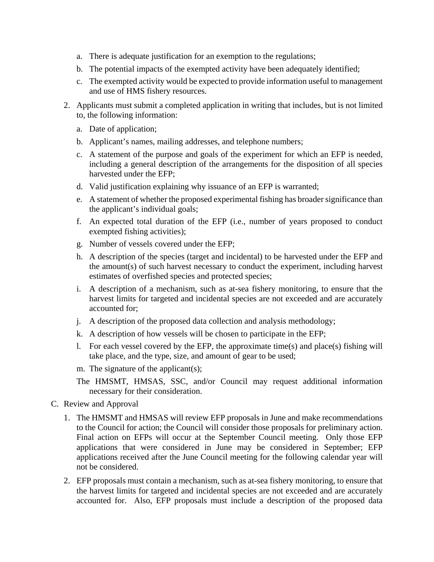- a. There is adequate justification for an exemption to the regulations;
- b. The potential impacts of the exempted activity have been adequately identified;
- c. The exempted activity would be expected to provide information useful to management and use of HMS fishery resources.
- 2. Applicants must submit a completed application in writing that includes, but is not limited to, the following information:
	- a. Date of application;
	- b. Applicant's names, mailing addresses, and telephone numbers;
	- c. A statement of the purpose and goals of the experiment for which an EFP is needed, including a general description of the arrangements for the disposition of all species harvested under the EFP;
	- d. Valid justification explaining why issuance of an EFP is warranted;
	- e. A statement of whether the proposed experimental fishing has broader significance than the applicant's individual goals;
	- f. An expected total duration of the EFP (i.e., number of years proposed to conduct exempted fishing activities);
	- g. Number of vessels covered under the EFP;
	- h. A description of the species (target and incidental) to be harvested under the EFP and the amount(s) of such harvest necessary to conduct the experiment, including harvest estimates of overfished species and protected species;
	- i. A description of a mechanism, such as at-sea fishery monitoring, to ensure that the harvest limits for targeted and incidental species are not exceeded and are accurately accounted for;
	- j. A description of the proposed data collection and analysis methodology;
	- k. A description of how vessels will be chosen to participate in the EFP;
	- l. For each vessel covered by the EFP, the approximate time(s) and place(s) fishing will take place, and the type, size, and amount of gear to be used;
	- m. The signature of the applicant(s);
	- The HMSMT, HMSAS, SSC, and/or Council may request additional information necessary for their consideration.
- C. Review and Approval
	- 1. The HMSMT and HMSAS will review EFP proposals in June and make recommendations to the Council for action; the Council will consider those proposals for preliminary action. Final action on EFPs will occur at the September Council meeting. Only those EFP applications that were considered in June may be considered in September; EFP applications received after the June Council meeting for the following calendar year will not be considered.
	- 2. EFP proposals must contain a mechanism, such as at-sea fishery monitoring, to ensure that the harvest limits for targeted and incidental species are not exceeded and are accurately accounted for. Also, EFP proposals must include a description of the proposed data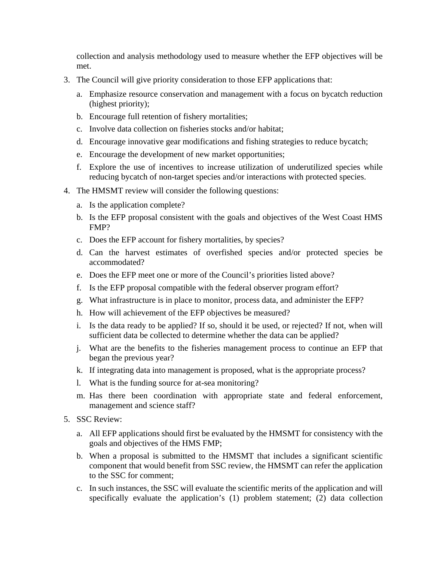collection and analysis methodology used to measure whether the EFP objectives will be met.

- 3. The Council will give priority consideration to those EFP applications that:
	- a. Emphasize resource conservation and management with a focus on bycatch reduction (highest priority);
	- b. Encourage full retention of fishery mortalities;
	- c. Involve data collection on fisheries stocks and/or habitat;
	- d. Encourage innovative gear modifications and fishing strategies to reduce bycatch;
	- e. Encourage the development of new market opportunities;
	- f. Explore the use of incentives to increase utilization of underutilized species while reducing bycatch of non-target species and/or interactions with protected species.
- 4. The HMSMT review will consider the following questions:
	- a. Is the application complete?
	- b. Is the EFP proposal consistent with the goals and objectives of the West Coast HMS FMP?
	- c. Does the EFP account for fishery mortalities, by species?
	- d. Can the harvest estimates of overfished species and/or protected species be accommodated?
	- e. Does the EFP meet one or more of the Council's priorities listed above?
	- f. Is the EFP proposal compatible with the federal observer program effort?
	- g. What infrastructure is in place to monitor, process data, and administer the EFP?
	- h. How will achievement of the EFP objectives be measured?
	- i. Is the data ready to be applied? If so, should it be used, or rejected? If not, when will sufficient data be collected to determine whether the data can be applied?
	- j. What are the benefits to the fisheries management process to continue an EFP that began the previous year?
	- k. If integrating data into management is proposed, what is the appropriate process?
	- l. What is the funding source for at-sea monitoring?
	- m. Has there been coordination with appropriate state and federal enforcement, management and science staff?
- 5. SSC Review:
	- a. All EFP applications should first be evaluated by the HMSMT for consistency with the goals and objectives of the HMS FMP;
	- b. When a proposal is submitted to the HMSMT that includes a significant scientific component that would benefit from SSC review, the HMSMT can refer the application to the SSC for comment;
	- c. In such instances, the SSC will evaluate the scientific merits of the application and will specifically evaluate the application's (1) problem statement; (2) data collection